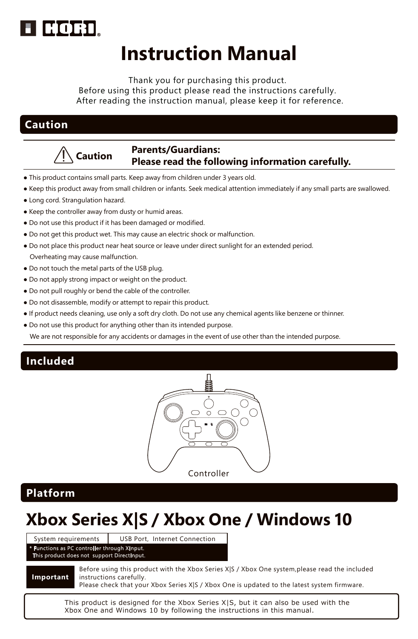

# **Instruction Manual**

Thank you for purchasing this product. Before using this product please read the instructions carefully. After reading the instruction manual, please keep it for reference.

## **Caution**



## **Caution Parents/Guardians: Please read the following information carefully.**

- This product contains small parts. Keep away from children under 3 years old.
- Keep this product away from small children or infants. Seek medical attention immediately if any small parts are swallowed.
- Long cord. Strangulation hazard.
- Keep the controller away from dusty or humid areas.
- Do not use this product if it has been damaged or modified.
- Do not get this product wet. This may cause an electric shock or malfunction.
- Do not place this product near heat source or leave under direct sunlight for an extended period. Overheating may cause malfunction.
- Do not touch the metal parts of the USB plug.
- Do not apply strong impact or weight on the product.
- Do not pull roughly or bend the cable of the controller.
- Do not disassemble, modify or attempt to repair this product.
- If product needs cleaning, use only a soft dry cloth. Do not use any chemical agents like benzene or thinner.
- Do not use this product for anything other than its intended purpose.

We are not responsible for any accidents or damages in the event of use other than the intended purpose.

## **Included**



## **Platform**

# **Xbox Series X|S / Xbox One / Windows 10**

ns as PC controller the duct does not support Direct

System requirements USB Port, Internet Connection

**Important**

Before using this product with the Xbox Series X|S / Xbox One system,please read the included instructions carefully.

Please check that your Xbox Series X|S / Xbox One is updated to the latest system firmware.

This product is designed for the Xbox Series XIS, but it can also be used with the Xbox One and Windows 10 by following the instructions in this manual.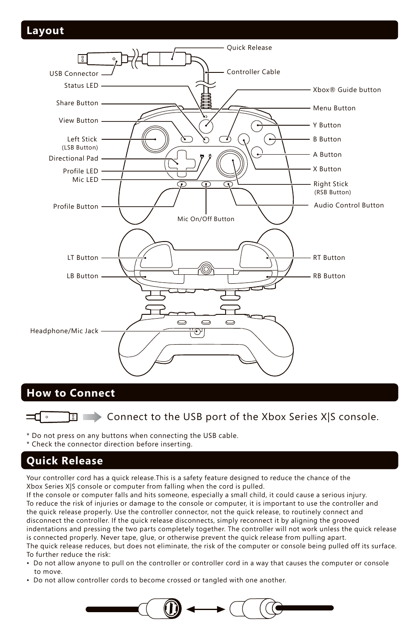## **Layout**



# **How to Connect**

\* Do not press on any buttons when connecting the USB cable.

\* Check the connector direction before inserting.

# **Quick Release**

Your controller cord has a quick release.This is a safety feature designed to reduce the chance of the Xbox Series X|S console or computer from falling when the cord is pulled.

If the console or computer falls and hits someone, especially a small child, it could cause a serious injury. To reduce the risk of injuries or damage to the console or computer, it is important to use the controller and the quick release properly. Use the controller connector, not the quick release, to routinely connect and disconnect the controller. If the quick release disconnects, simply reconnect it by aligning the grooved indentations and pressing the two parts completely together. The controller will not work unless the quick release is connected properly. Never tape, glue, or otherwise prevent the quick release from pulling apart. The quick release reduces, but does not eliminate, the risk of the computer or console being pulled off its surface. To further reduce the risk:

- Do not allow anyone to pull on the controller or controller cord in a way that causes the computer or console to move.
- Do not allow controller cords to become crossed or tangled with one another.



Connect to the USB port of the Xbox Series X|S console.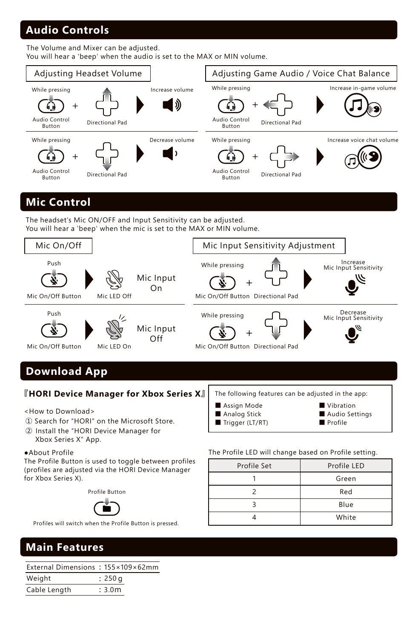# **Audio Controls**

The Volume and Mixer can be adjusted.

You will hear a 'beep' when the audio is set to the MAX or MIN volume.



## **Mic Control**

The headset's Mic ON/OFF and Input Sensitivity can be adjusted. You will hear a 'beep' when the mic is set to the MAX or MIN volume.



# **Download App**

## **『HORI Device Manager for Xbox Series X』**

<How to Download>

- ① Search for "HORI" on the Microsoft Store.
- ② Install the "HORI Device Manager for Xbox Series X" App.

## ●About Profile

The Profile Button is used to toggle between profiles (profiles are adjusted via the HORI Device Manager for Xbox Series X).

Profile Button



Profiles will switch when the Profile Button is pressed.

### The following features can be adjusted in the app: ■ Vibration

- Assign Mode ■ Analog Stick ■ Trigger (LT/RT)
- Audio Settings
	- Profile

The Profile LED will change based on Profile setting.

| Profile Set | Profile LED |
|-------------|-------------|
|             | Green       |
|             | Red         |
|             | Blue        |
|             | White       |

# **Main Features**

External Dimensions ︓ 155×109×62mm

| Weight       | : 250q             |
|--------------|--------------------|
| Cable Length | : 3.0 <sub>m</sub> |